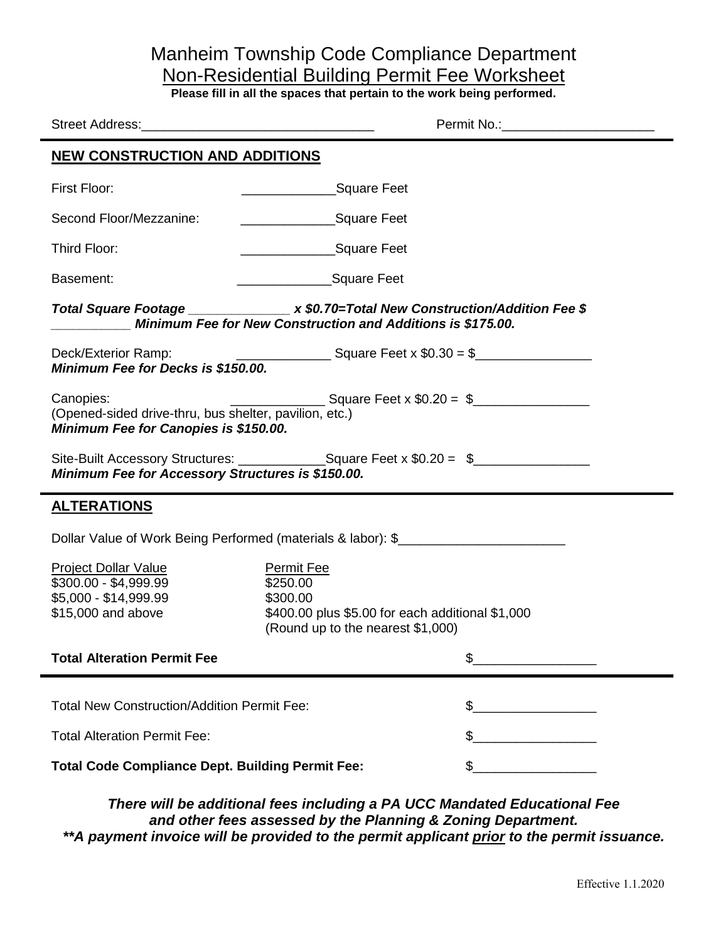## Manheim Township Code Compliance Department Non-Residential Building Permit Fee Worksheet

**Please fill in all the spaces that pertain to the work being performed.**

 $\blacksquare$ 

| <b>NEW CONSTRUCTION AND ADDITIONS</b>                                                                                                                       |                                                                                                                                    |                                         |  |
|-------------------------------------------------------------------------------------------------------------------------------------------------------------|------------------------------------------------------------------------------------------------------------------------------------|-----------------------------------------|--|
| First Floor:                                                                                                                                                | Square Feet                                                                                                                        |                                         |  |
| Second Floor/Mezzanine:                                                                                                                                     | ________________________Square Feet                                                                                                |                                         |  |
| Third Floor:                                                                                                                                                | ________________________Square Feet                                                                                                |                                         |  |
| Basement:                                                                                                                                                   | _____________________Square Feet                                                                                                   |                                         |  |
| Total Square Footage ______________ x \$0.70=Total New Construction/Addition Fee \$<br>Minimum Fee for New Construction and Additions is \$175.00.          |                                                                                                                                    |                                         |  |
| Deck/Exterior Ramp:<br>Minimum Fee for Decks is \$150.00.                                                                                                   |                                                                                                                                    | $\frac{1}{2}$ Square Feet x \$0.30 = \$ |  |
| Canopies:<br>(Opened-sided drive-thru, bus shelter, pavilion, etc.)<br>Minimum Fee for Canopies is \$150.00.                                                |                                                                                                                                    |                                         |  |
| Site-Built Accessory Structures: _________________Square Feet x \$0.20 = \$___________________________<br>Minimum Fee for Accessory Structures is \$150.00. |                                                                                                                                    |                                         |  |
| <b>ALTERATIONS</b>                                                                                                                                          |                                                                                                                                    |                                         |  |
| Dollar Value of Work Being Performed (materials & labor): \$                                                                                                |                                                                                                                                    |                                         |  |
| <b>Project Dollar Value</b><br>\$300.00 - \$4,999.99<br>\$5,000 - \$14,999.99<br>\$15,000 and above                                                         | <b>Permit Fee</b><br>\$250.00<br>\$300.00<br>\$400.00 plus \$5.00 for each additional \$1,000<br>(Round up to the nearest \$1,000) |                                         |  |
| <b>Total Alteration Permit Fee</b>                                                                                                                          |                                                                                                                                    |                                         |  |
| <b>Total New Construction/Addition Permit Fee:</b>                                                                                                          |                                                                                                                                    | \$_                                     |  |
| <b>Total Alteration Permit Fee:</b>                                                                                                                         |                                                                                                                                    | \$                                      |  |
| <b>Total Code Compliance Dept. Building Permit Fee:</b>                                                                                                     |                                                                                                                                    | \$                                      |  |
|                                                                                                                                                             |                                                                                                                                    |                                         |  |

*There will be additional fees including a PA UCC Mandated Educational Fee and other fees assessed by the Planning & Zoning Department. \*\*A payment invoice will be provided to the permit applicant prior to the permit issuance.*